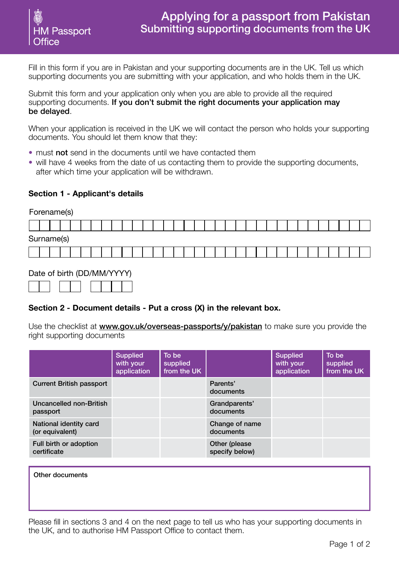

Fill in this form if you are in Pakistan and your supporting documents are in the UK. Tell us which supporting documents you are submitting with your application, and who holds them in the UK.

Submit this form and your application only when you are able to provide all the required supporting documents. If you don't submit the right documents your application may be delayed.

When your application is received in the UK we will contact the person who holds your supporting documents. You should let them know that they:

- must not send in the documents until we have contacted them
- will have 4 weeks from the date of us contacting them to provide the supporting documents, after which time your application will be withdrawn.

## **Section 1 - Applicant's details**

| Forename(s) |                            |  |  |  |  |  |  |  |  |  |  |  |  |  |  |  |  |  |  |  |  |  |  |  |
|-------------|----------------------------|--|--|--|--|--|--|--|--|--|--|--|--|--|--|--|--|--|--|--|--|--|--|--|
|             |                            |  |  |  |  |  |  |  |  |  |  |  |  |  |  |  |  |  |  |  |  |  |  |  |
|             | Surname(s)                 |  |  |  |  |  |  |  |  |  |  |  |  |  |  |  |  |  |  |  |  |  |  |  |
|             |                            |  |  |  |  |  |  |  |  |  |  |  |  |  |  |  |  |  |  |  |  |  |  |  |
|             | Data of birth (DD/MM/VVVV) |  |  |  |  |  |  |  |  |  |  |  |  |  |  |  |  |  |  |  |  |  |  |  |

## Date of birth (DD/MM/YYYY)

# **Section 2 - Document details - Put a cross (X) in the relevant box.**

Use the checklist at **www.gov.uk/overseas-passports/y/pakistan** to make sure you provide the right supporting documents

|                                           | <b>Supplied</b><br>with your<br>application | To be<br>supplied<br>from the UK |                                 | <b>Supplied</b><br>with your<br>application | To be<br>supplied<br>from the UK |
|-------------------------------------------|---------------------------------------------|----------------------------------|---------------------------------|---------------------------------------------|----------------------------------|
| <b>Current British passport</b>           |                                             |                                  | Parents'<br>documents           |                                             |                                  |
| Uncancelled non-British<br>passport       |                                             |                                  | Grandparents'<br>documents      |                                             |                                  |
| National identity card<br>(or equivalent) |                                             |                                  | Change of name<br>documents     |                                             |                                  |
| Full birth or adoption<br>certificate     |                                             |                                  | Other (please<br>specify below) |                                             |                                  |

#### Other documents

Please fill in sections 3 and 4 on the next page to tell us who has your supporting documents in the UK, and to authorise HM Passport Office to contact them.